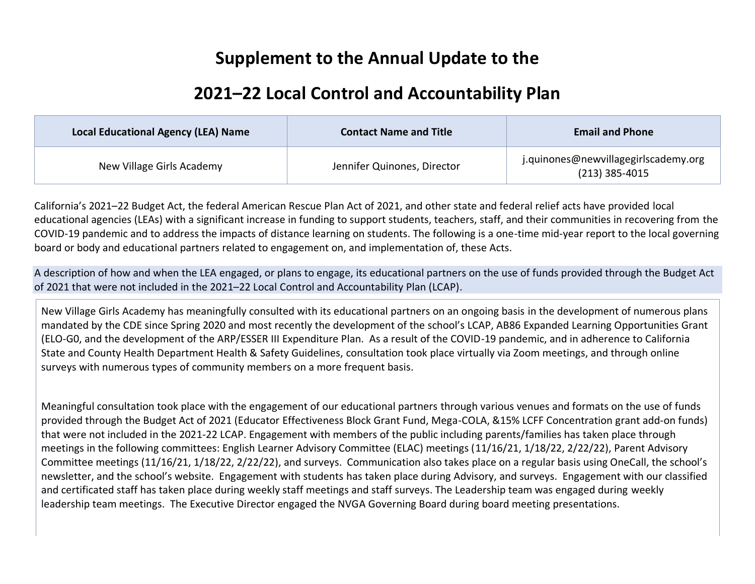#### **Supplement to the Annual Update to the**

#### **2021–22 Local Control and Accountability Plan**

| <b>Local Educational Agency (LEA) Name</b> | <b>Contact Name and Title</b> | <b>Email and Phone</b>                                   |
|--------------------------------------------|-------------------------------|----------------------------------------------------------|
| New Village Girls Academy                  | Jennifer Quinones, Director   | j.quinones@newvillagegirlscademy.org<br>$(213)$ 385-4015 |

California's 2021–22 Budget Act, the federal American Rescue Plan Act of 2021, and other state and federal relief acts have provided local educational agencies (LEAs) with a significant increase in funding to support students, teachers, staff, and their communities in recovering from the COVID-19 pandemic and to address the impacts of distance learning on students. The following is a one-time mid-year report to the local governing board or body and educational partners related to engagement on, and implementation of, these Acts.

A description of how and when the LEA engaged, or plans to engage, its educational partners on the use of funds provided through the Budget Act of 2021 that were not included in the 2021–22 Local Control and Accountability Plan (LCAP).

New Village Girls Academy has meaningfully consulted with its educational partners on an ongoing basis in the development of numerous plans mandated by the CDE since Spring 2020 and most recently the development of the school's LCAP, AB86 Expanded Learning Opportunities Grant (ELO-G0, and the development of the ARP/ESSER III Expenditure Plan. As a result of the COVID-19 pandemic, and in adherence to California State and County Health Department Health & Safety Guidelines, consultation took place virtually via Zoom meetings, and through online surveys with numerous types of community members on a more frequent basis.

Meaningful consultation took place with the engagement of our educational partners through various venues and formats on the use of funds provided through the Budget Act of 2021 (Educator Effectiveness Block Grant Fund, Mega-COLA, &15% LCFF Concentration grant add-on funds) that were not included in the 2021-22 LCAP. Engagement with members of the public including parents/families has taken place through meetings in the following committees: English Learner Advisory Committee (ELAC) meetings (11/16/21, 1/18/22, 2/22/22), Parent Advisory Committee meetings (11/16/21, 1/18/22, 2/22/22), and surveys. Communication also takes place on a regular basis using OneCall, the school's newsletter, and the school's website. Engagement with students has taken place during Advisory, and surveys. Engagement with our classified and certificated staff has taken place during weekly staff meetings and staff surveys. The Leadership team was engaged during weekly leadership team meetings. The Executive Director engaged the NVGA Governing Board during board meeting presentations.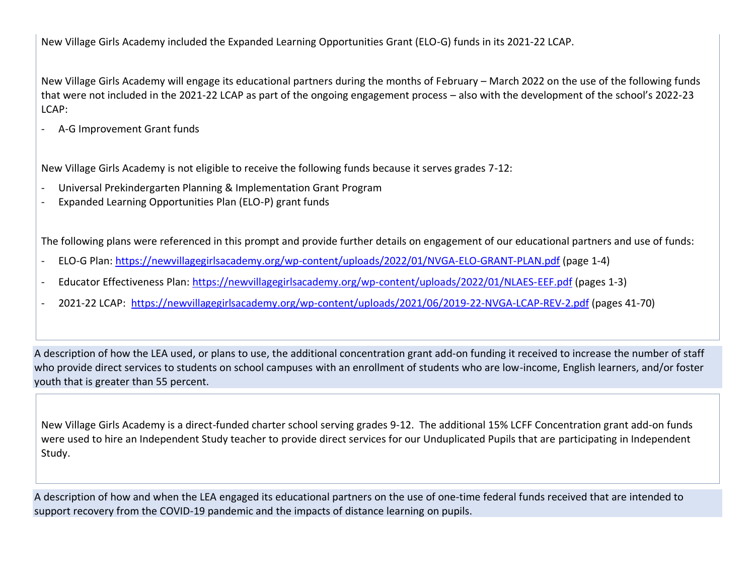New Village Girls Academy included the Expanded Learning Opportunities Grant (ELO-G) funds in its 2021-22 LCAP.

New Village Girls Academy will engage its educational partners during the months of February – March 2022 on the use of the following funds that were not included in the 2021-22 LCAP as part of the ongoing engagement process – also with the development of the school's 2022-23 LCAP:

- A-G Improvement Grant funds

New Village Girls Academy is not eligible to receive the following funds because it serves grades 7-12:

- Universal Prekindergarten Planning & Implementation Grant Program
- Expanded Learning Opportunities Plan (ELO-P) grant funds

The following plans were referenced in this prompt and provide further details on engagement of our educational partners and use of funds:

- ELO-G Plan: <https://newvillagegirlsacademy.org/wp-content/uploads/2022/01/NVGA-ELO-GRANT-PLAN.pdf> (page 1-4)
- Educator Effectiveness Plan: <https://newvillagegirlsacademy.org/wp-content/uploads/2022/01/NLAES-EEF.pdf> (pages 1-3)
- 2021-22 LCAP: <https://newvillagegirlsacademy.org/wp-content/uploads/2021/06/2019-22-NVGA-LCAP-REV-2.pdf> (pages 41-70)

A description of how the LEA used, or plans to use, the additional concentration grant add-on funding it received to increase the number of staff who provide direct services to students on school campuses with an enrollment of students who are low-income, English learners, and/or foster youth that is greater than 55 percent.

New Village Girls Academy is a direct-funded charter school serving grades 9-12. The additional 15% LCFF Concentration grant add-on funds were used to hire an Independent Study teacher to provide direct services for our Unduplicated Pupils that are participating in Independent Study.

A description of how and when the LEA engaged its educational partners on the use of one-time federal funds received that are intended to support recovery from the COVID-19 pandemic and the impacts of distance learning on pupils.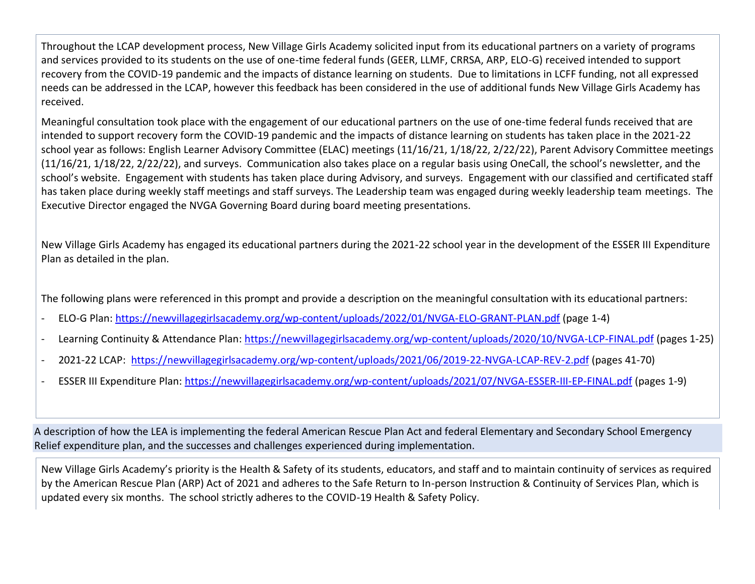Throughout the LCAP development process, New Village Girls Academy solicited input from its educational partners on a variety of programs and services provided to its students on the use of one-time federal funds (GEER, LLMF, CRRSA, ARP, ELO-G) received intended to support recovery from the COVID-19 pandemic and the impacts of distance learning on students. Due to limitations in LCFF funding, not all expressed needs can be addressed in the LCAP, however this feedback has been considered in the use of additional funds New Village Girls Academy has received.

Meaningful consultation took place with the engagement of our educational partners on the use of one-time federal funds received that are intended to support recovery form the COVID-19 pandemic and the impacts of distance learning on students has taken place in the 2021-22 school year as follows: English Learner Advisory Committee (ELAC) meetings (11/16/21, 1/18/22, 2/22/22), Parent Advisory Committee meetings (11/16/21, 1/18/22, 2/22/22), and surveys. Communication also takes place on a regular basis using OneCall, the school's newsletter, and the school's website. Engagement with students has taken place during Advisory, and surveys. Engagement with our classified and certificated staff has taken place during weekly staff meetings and staff surveys. The Leadership team was engaged during weekly leadership team meetings. The Executive Director engaged the NVGA Governing Board during board meeting presentations.

New Village Girls Academy has engaged its educational partners during the 2021-22 school year in the development of the ESSER III Expenditure Plan as detailed in the plan.

The following plans were referenced in this prompt and provide a description on the meaningful consultation with its educational partners:

- ELO-G Plan: <https://newvillagegirlsacademy.org/wp-content/uploads/2022/01/NVGA-ELO-GRANT-PLAN.pdf> (page 1-4)
- Learning Continuity & Attendance Plan:<https://newvillagegirlsacademy.org/wp-content/uploads/2020/10/NVGA-LCP-FINAL.pdf> (pages 1-25)
- 2021-22 LCAP: <https://newvillagegirlsacademy.org/wp-content/uploads/2021/06/2019-22-NVGA-LCAP-REV-2.pdf> (pages 41-70)
- ESSER III Expenditure Plan: <https://newvillagegirlsacademy.org/wp-content/uploads/2021/07/NVGA-ESSER-III-EP-FINAL.pdf> (pages 1-9)

A description of how the LEA is implementing the federal American Rescue Plan Act and federal Elementary and Secondary School Emergency Relief expenditure plan, and the successes and challenges experienced during implementation.

New Village Girls Academy's priority is the Health & Safety of its students, educators, and staff and to maintain continuity of services as required by the American Rescue Plan (ARP) Act of 2021 and adheres to the Safe Return to In-person Instruction & Continuity of Services Plan, which is updated every six months. The school strictly adheres to the COVID-19 Health & Safety Policy.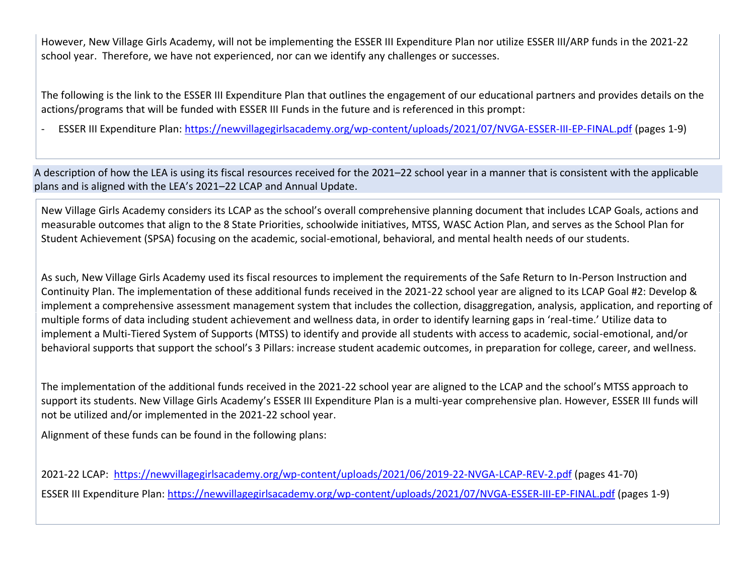However, New Village Girls Academy, will not be implementing the ESSER III Expenditure Plan nor utilize ESSER III/ARP funds in the 2021-22 school year. Therefore, we have not experienced, nor can we identify any challenges or successes.

The following is the link to the ESSER III Expenditure Plan that outlines the engagement of our educational partners and provides details on the actions/programs that will be funded with ESSER III Funds in the future and is referenced in this prompt:

- ESSER III Expenditure Plan:<https://newvillagegirlsacademy.org/wp-content/uploads/2021/07/NVGA-ESSER-III-EP-FINAL.pdf> (pages 1-9)

A description of how the LEA is using its fiscal resources received for the 2021–22 school year in a manner that is consistent with the applicable plans and is aligned with the LEA's 2021–22 LCAP and Annual Update.

New Village Girls Academy considers its LCAP as the school's overall comprehensive planning document that includes LCAP Goals, actions and measurable outcomes that align to the 8 State Priorities, schoolwide initiatives, MTSS, WASC Action Plan, and serves as the School Plan for Student Achievement (SPSA) focusing on the academic, social-emotional, behavioral, and mental health needs of our students.

As such, New Village Girls Academy used its fiscal resources to implement the requirements of the Safe Return to In-Person Instruction and Continuity Plan. The implementation of these additional funds received in the 2021-22 school year are aligned to its LCAP Goal #2: Develop & implement a comprehensive assessment management system that includes the collection, disaggregation, analysis, application, and reporting of multiple forms of data including student achievement and wellness data, in order to identify learning gaps in 'real-time.' Utilize data to implement a Multi-Tiered System of Supports (MTSS) to identify and provide all students with access to academic, social-emotional, and/or behavioral supports that support the school's 3 Pillars: increase student academic outcomes, in preparation for college, career, and wellness.

The implementation of the additional funds received in the 2021-22 school year are aligned to the LCAP and the school's MTSS approach to support its students. New Village Girls Academy's ESSER III Expenditure Plan is a multi-year comprehensive plan. However, ESSER III funds will not be utilized and/or implemented in the 2021-22 school year.

Alignment of these funds can be found in the following plans:

2021-22 LCAP: <https://newvillagegirlsacademy.org/wp-content/uploads/2021/06/2019-22-NVGA-LCAP-REV-2.pdf> (pages 41-70) ESSER III Expenditure Plan:<https://newvillagegirlsacademy.org/wp-content/uploads/2021/07/NVGA-ESSER-III-EP-FINAL.pdf> (pages 1-9)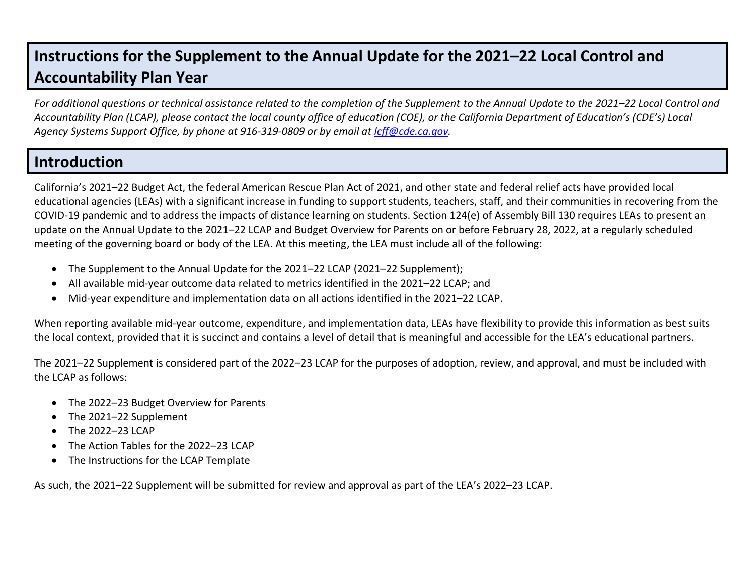#### **Instructions for the Supplement to the Annual Update for the 2021–22 Local Control and Accountability Plan Year**

*For additional questions or technical assistance related to the completion of the Supplement to the Annual Update to the 2021–22 Local Control and Accountability Plan (LCAP), please contact the local county office of education (COE), or the California Department of Education's (CDE's) Local Agency Systems Support Office, by phone at 916-319-0809 or by email at [lcff@cde.ca.gov.](mailto:lcff@cde.ca.gov)*

#### **Introduction**

California's 2021–22 Budget Act, the federal American Rescue Plan Act of 2021, and other state and federal relief acts have provided local educational agencies (LEAs) with a significant increase in funding to support students, teachers, staff, and their communities in recovering from the COVID-19 pandemic and to address the impacts of distance learning on students. Section 124(e) of Assembly Bill 130 requires LEAs to present an update on the Annual Update to the 2021–22 LCAP and Budget Overview for Parents on or before February 28, 2022, at a regularly scheduled meeting of the governing board or body of the LEA. At this meeting, the LEA must include all of the following:

- The Supplement to the Annual Update for the 2021–22 LCAP (2021–22 Supplement);
- All available mid-year outcome data related to metrics identified in the 2021–22 LCAP; and
- Mid-year expenditure and implementation data on all actions identified in the 2021–22 LCAP.

When reporting available mid-year outcome, expenditure, and implementation data, LEAs have flexibility to provide this information as best suits the local context, provided that it is succinct and contains a level of detail that is meaningful and accessible for the LEA's educational partners.

The 2021–22 Supplement is considered part of the 2022–23 LCAP for the purposes of adoption, review, and approval, and must be included with the LCAP as follows:

- The 2022–23 Budget Overview for Parents
- The 2021–22 Supplement
- The 2022–23 LCAP
- The Action Tables for the 2022–23 LCAP
- The Instructions for the LCAP Template

As such, the 2021–22 Supplement will be submitted for review and approval as part of the LEA's 2022–23 LCAP.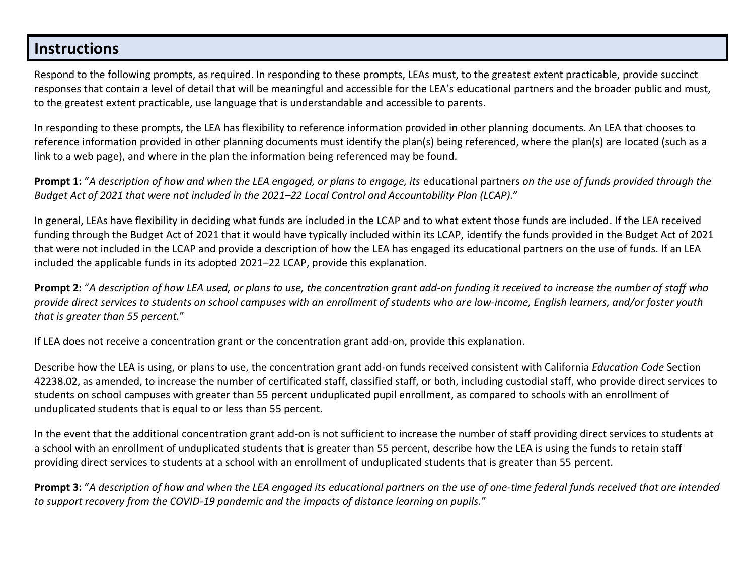#### **Instructions**

Respond to the following prompts, as required. In responding to these prompts, LEAs must, to the greatest extent practicable, provide succinct responses that contain a level of detail that will be meaningful and accessible for the LEA's educational partners and the broader public and must, to the greatest extent practicable, use language that is understandable and accessible to parents.

In responding to these prompts, the LEA has flexibility to reference information provided in other planning documents. An LEA that chooses to reference information provided in other planning documents must identify the plan(s) being referenced, where the plan(s) are located (such as a link to a web page), and where in the plan the information being referenced may be found.

**Prompt 1:** "*A description of how and when the LEA engaged, or plans to engage, its* educational partners *on the use of funds provided through the Budget Act of 2021 that were not included in the 2021–22 Local Control and Accountability Plan (LCAP).*"

In general, LEAs have flexibility in deciding what funds are included in the LCAP and to what extent those funds are included. If the LEA received funding through the Budget Act of 2021 that it would have typically included within its LCAP, identify the funds provided in the Budget Act of 2021 that were not included in the LCAP and provide a description of how the LEA has engaged its educational partners on the use of funds. If an LEA included the applicable funds in its adopted 2021–22 LCAP, provide this explanation.

**Prompt 2:** "*A description of how LEA used, or plans to use, the concentration grant add-on funding it received to increase the number of staff who provide direct services to students on school campuses with an enrollment of students who are low-income, English learners, and/or foster youth that is greater than 55 percent.*"

If LEA does not receive a concentration grant or the concentration grant add-on, provide this explanation.

Describe how the LEA is using, or plans to use, the concentration grant add-on funds received consistent with California *Education Code* Section 42238.02, as amended, to increase the number of certificated staff, classified staff, or both, including custodial staff, who provide direct services to students on school campuses with greater than 55 percent unduplicated pupil enrollment, as compared to schools with an enrollment of unduplicated students that is equal to or less than 55 percent.

In the event that the additional concentration grant add-on is not sufficient to increase the number of staff providing direct services to students at a school with an enrollment of unduplicated students that is greater than 55 percent, describe how the LEA is using the funds to retain staff providing direct services to students at a school with an enrollment of unduplicated students that is greater than 55 percent.

**Prompt 3:** "*A description of how and when the LEA engaged its educational partners on the use of one-time federal funds received that are intended to support recovery from the COVID-19 pandemic and the impacts of distance learning on pupils.*"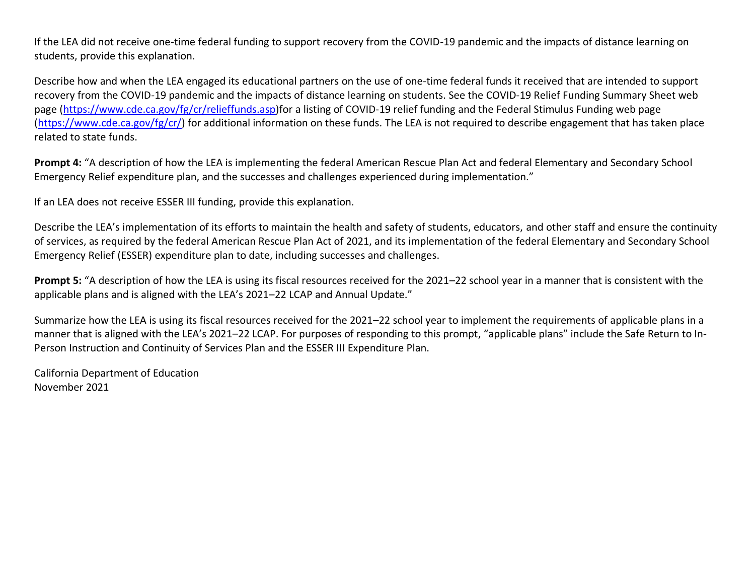If the LEA did not receive one-time federal funding to support recovery from the COVID-19 pandemic and the impacts of distance learning on students, provide this explanation.

Describe how and when the LEA engaged its educational partners on the use of one-time federal funds it received that are intended to support recovery from the COVID-19 pandemic and the impacts of distance learning on students. See the COVID-19 Relief Funding Summary Sheet web page [\(https://www.cde.ca.gov/fg/cr/relieffunds.asp\)](https://www.cde.ca.gov/fg/cr/relieffunds.asp)for a listing of COVID-19 relief funding and the Federal Stimulus Funding web page [\(https://www.cde.ca.gov/fg/cr/\)](https://www.cde.ca.gov/fg/cr/) for additional information on these funds. The LEA is not required to describe engagement that has taken place related to state funds.

**Prompt 4:** "A description of how the LEA is implementing the federal American Rescue Plan Act and federal Elementary and Secondary School Emergency Relief expenditure plan, and the successes and challenges experienced during implementation."

If an LEA does not receive ESSER III funding, provide this explanation.

Describe the LEA's implementation of its efforts to maintain the health and safety of students, educators, and other staff and ensure the continuity of services, as required by the federal American Rescue Plan Act of 2021, and its implementation of the federal Elementary and Secondary School Emergency Relief (ESSER) expenditure plan to date, including successes and challenges.

**Prompt 5:** "A description of how the LEA is using its fiscal resources received for the 2021–22 school year in a manner that is consistent with the applicable plans and is aligned with the LEA's 2021–22 LCAP and Annual Update."

Summarize how the LEA is using its fiscal resources received for the 2021–22 school year to implement the requirements of applicable plans in a manner that is aligned with the LEA's 2021–22 LCAP. For purposes of responding to this prompt, "applicable plans" include the Safe Return to In-Person Instruction and Continuity of Services Plan and the ESSER III Expenditure Plan.

California Department of Education November 2021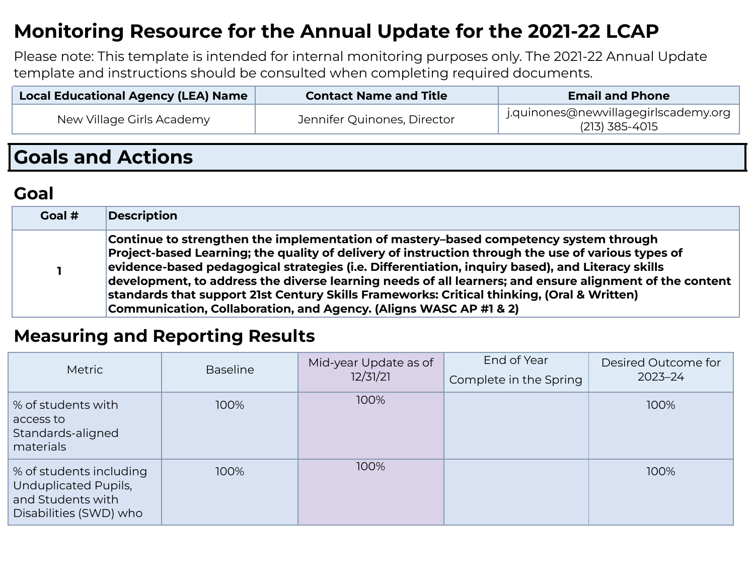## **Monitoring Resource for the Annual Update for the 2021-22 LCAP**

Please note: This template is intended for internal monitoring purposes only. The 2021-22 Annual Update template and instructions should be consulted when completing required documents.

| Local Educational Agency (LEA) Name | <b>Contact Name and Title</b> | <b>Email and Phone</b>                                 |
|-------------------------------------|-------------------------------|--------------------------------------------------------|
| New Village Girls Academy           | Jennifer Quinones, Director   | j.quinones@newvillagegirlscademy.org<br>(213) 385-4015 |
|                                     |                               |                                                        |

## **Goals and Actions**

## **Goal**

| Goal # | Description                                                                                                                                                                                                                                                                                                                                                                                                                                                                                                                                                                         |
|--------|-------------------------------------------------------------------------------------------------------------------------------------------------------------------------------------------------------------------------------------------------------------------------------------------------------------------------------------------------------------------------------------------------------------------------------------------------------------------------------------------------------------------------------------------------------------------------------------|
|        | Continue to strengthen the implementation of mastery-based competency system through<br>Project-based Learning; the quality of delivery of instruction through the use of various types of<br>evidence-based pedagogical strategies (i.e. Differentiation, inquiry based), and Literacy skills<br>development, to address the diverse learning needs of all learners; and ensure alignment of the content $\mid$<br>standards that support 21st Century Skills Frameworks: Critical thinking, (Oral & Written)<br>Communication, Collaboration, and Agency. (Aligns WASC AP #1 & 2) |

#### **Measuring and Reporting Results**

| <b>Metric</b>                                                                                  | <b>Baseline</b> | Mid-year Update as of<br>12/31/21 | End of Year<br>Complete in the Spring | Desired Outcome for<br>$2023 - 24$ |
|------------------------------------------------------------------------------------------------|-----------------|-----------------------------------|---------------------------------------|------------------------------------|
| % of students with<br>access to<br>Standards-aligned<br>materials                              | 100%            | 100%                              |                                       | 100%                               |
| % of students including<br>Unduplicated Pupils,<br>and Students with<br>Disabilities (SWD) who | 100%            | 100%                              |                                       | 100%                               |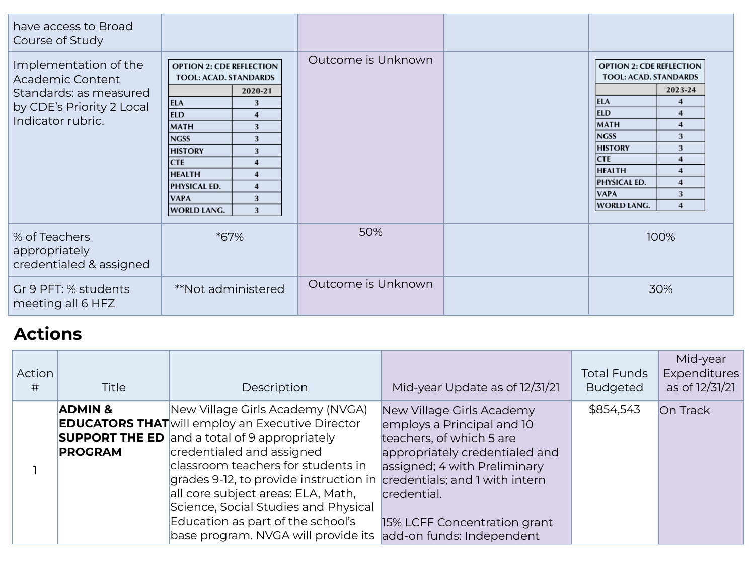| have access to Broad<br>Course of Study                                                                               |                                                                                                                                                                                                                                                                                                                                                          |                    |                                                                                                                                                                                                                                                                                                                                                                         |
|-----------------------------------------------------------------------------------------------------------------------|----------------------------------------------------------------------------------------------------------------------------------------------------------------------------------------------------------------------------------------------------------------------------------------------------------------------------------------------------------|--------------------|-------------------------------------------------------------------------------------------------------------------------------------------------------------------------------------------------------------------------------------------------------------------------------------------------------------------------------------------------------------------------|
| Implementation of the<br>Academic Content<br>Standards: as measured<br>by CDE's Priority 2 Local<br>Indicator rubric. | <b>OPTION 2: CDE REFLECTION</b><br>TOOL: ACAD. STANDARDS<br>2020-21<br><b>ELA</b><br>3<br><b>ELD</b><br>$\boldsymbol{4}$<br>MATH<br>3<br><b>NGSS</b><br>3<br><b>HISTORY</b><br>3<br><b>CTE</b><br>$\boldsymbol{4}$<br><b>HEALTH</b><br>$\overline{\mathbf{4}}$<br><b>PHYSICAL ED.</b><br>$\boldsymbol{4}$<br><b>VAPA</b><br>3<br><b>WORLD LANG.</b><br>3 | Outcome is Unknown | <b>OPTION 2: CDE REFLECTION</b><br><b>TOOL: ACAD. STANDARDS</b><br>2023-24<br>ELA<br>4<br><b>ELD</b><br>$\boldsymbol{4}$<br>MATH<br>$\overline{4}$<br><b>NGSS</b><br>3<br><b>HISTORY</b><br>3<br><b>CTE</b><br>$\boldsymbol{4}$<br><b>HEALTH</b><br>$\overline{4}$<br><b>PHYSICAL ED.</b><br>$\overline{4}$<br><b>VAPA</b><br>3<br><b>WORLD LANG.</b><br>$\overline{4}$ |
| % of Teachers<br>appropriately<br>credentialed & assigned                                                             | *67%                                                                                                                                                                                                                                                                                                                                                     | 50%                | 100%                                                                                                                                                                                                                                                                                                                                                                    |
| Gr 9 PFT: % students<br>meeting all 6 HFZ                                                                             | **Not administered                                                                                                                                                                                                                                                                                                                                       | Outcome is Unknown | 30%                                                                                                                                                                                                                                                                                                                                                                     |

## **Actions**

| Action<br># | Title                                | Description                                                                                                                                                                                                                                                                                                                                                                                                                                                                         | Mid-year Update as of 12/31/21                                                                                                                                                                       | <b>Total Funds</b><br><b>Budgeted</b> | Mid-year<br><b>Expenditures</b><br>as of 12/31/21 |
|-------------|--------------------------------------|-------------------------------------------------------------------------------------------------------------------------------------------------------------------------------------------------------------------------------------------------------------------------------------------------------------------------------------------------------------------------------------------------------------------------------------------------------------------------------------|------------------------------------------------------------------------------------------------------------------------------------------------------------------------------------------------------|---------------------------------------|---------------------------------------------------|
|             | <b>ADMIN &amp;</b><br><b>PROGRAM</b> | New Village Girls Academy (NVGA)<br><b>EDUCATORS THAT</b> will employ an Executive Director<br><b>SUPPORT THE ED</b> and a total of 9 appropriately<br>credentialed and assigned<br>classroom teachers for students in<br>grades 9-12, to provide instruction in credentials; and 1 with intern<br>all core subject areas: ELA, Math,<br>Science, Social Studies and Physical<br>Education as part of the school's<br>base program. NVGA will provide its add-on funds: Independent | New Village Girls Academy<br>employs a Principal and 10<br>teachers, of which 5 are<br>appropriately credentialed and<br>assigned; 4 with Preliminary<br>credential.<br>15% LCFF Concentration grant | \$854,543                             | <b>On Track</b>                                   |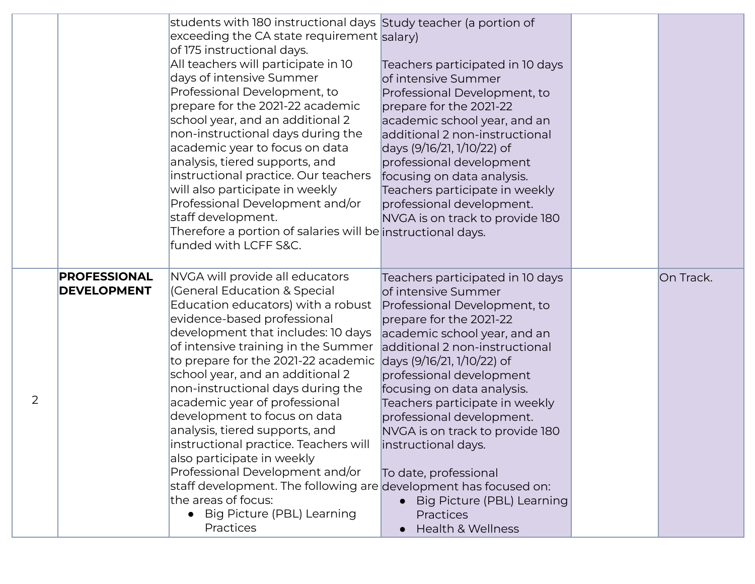|                |                                           | students with 180 instructional days Study teacher (a portion of<br>exceeding the CA state requirement salary)<br>of 175 instructional days.<br>All teachers will participate in 10<br>days of intensive Summer<br>Professional Development, to<br>prepare for the 2021-22 academic<br>school year, and an additional 2<br>non-instructional days during the<br>academic year to focus on data<br>analysis, tiered supports, and<br>instructional practice. Our teachers<br>will also participate in weekly<br>Professional Development and/or<br>staff development.<br>Therefore a portion of salaries will be instructional days.<br>funded with LCFF S&C.                                             | Teachers participated in 10 days<br>of intensive Summer<br>Professional Development, to<br>prepare for the 2021-22<br>academic school year, and an<br>additional 2 non-instructional<br>days (9/16/21, 1/10/22) of<br>professional development<br>focusing on data analysis.<br>Teachers participate in weekly<br>professional development.<br>NVGA is on track to provide 180                                                                                                                                         |           |
|----------------|-------------------------------------------|----------------------------------------------------------------------------------------------------------------------------------------------------------------------------------------------------------------------------------------------------------------------------------------------------------------------------------------------------------------------------------------------------------------------------------------------------------------------------------------------------------------------------------------------------------------------------------------------------------------------------------------------------------------------------------------------------------|------------------------------------------------------------------------------------------------------------------------------------------------------------------------------------------------------------------------------------------------------------------------------------------------------------------------------------------------------------------------------------------------------------------------------------------------------------------------------------------------------------------------|-----------|
| $\overline{2}$ | <b>PROFESSIONAL</b><br><b>DEVELOPMENT</b> | NVGA will provide all educators<br>(General Education & Special<br>Education educators) with a robust<br>evidence-based professional<br>development that includes: 10 days<br>of intensive training in the Summer<br>to prepare for the 2021-22 academic<br>school year, and an additional 2<br>non-instructional days during the<br>academic year of professional<br>development to focus on data<br>analysis, tiered supports, and<br>instructional practice. Teachers will<br>also participate in weekly<br>Professional Development and/or<br>staff development. The following are development has focused on:<br>the areas of focus:<br>Big Picture (PBL) Learning<br>$\bullet$<br><b>Practices</b> | Teachers participated in 10 days<br>of intensive Summer<br>Professional Development, to<br>prepare for the 2021-22<br>academic school year, and an<br>additional 2 non-instructional<br>days (9/16/21, 1/10/22) of<br>professional development<br>focusing on data analysis.<br>Teachers participate in weekly<br>professional development.<br>NVGA is on track to provide 180<br>instructional days.<br>To date, professional<br>Big Picture (PBL) Learning<br>$\bullet$<br>Practices<br><b>Health &amp; Wellness</b> | On Track. |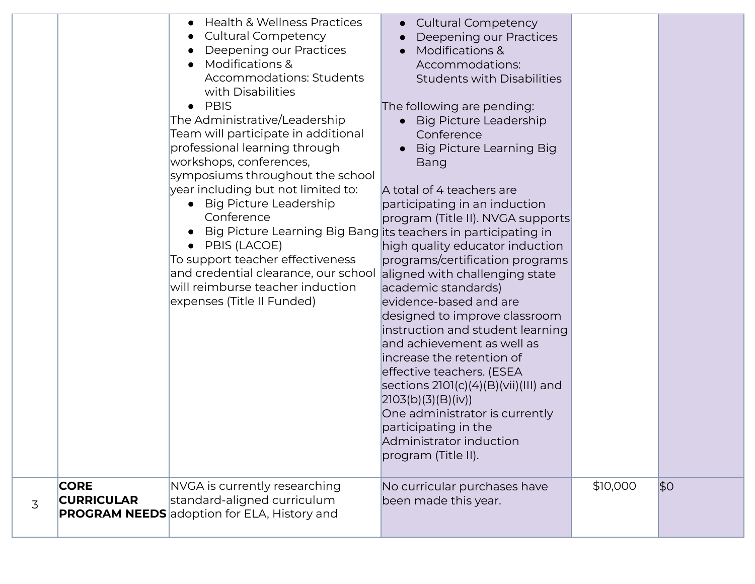|   |                                  | <b>Health &amp; Wellness Practices</b><br><b>Cultural Competency</b><br>Deepening our Practices<br><b>Modifications &amp;</b><br><b>Accommodations: Students</b><br>with Disabilities<br><b>PBIS</b><br>The Administrative/Leadership<br>Team will participate in additional<br>professional learning through<br>workshops, conferences,<br>symposiums throughout the school<br>year including but not limited to:<br><b>Big Picture Leadership</b><br>Conference<br>Big Picture Learning Big Bang its teachers in participating in<br>PBIS (LACOE)<br>$\bullet$<br>To support teacher effectiveness<br>and credential clearance, our school<br>will reimburse teacher induction<br>expenses (Title II Funded) | <b>Cultural Competency</b><br>$\bullet$<br>Deepening our Practices<br><b>Modifications &amp;</b><br>$\bullet$<br>Accommodations:<br><b>Students with Disabilities</b><br>The following are pending:<br>• Big Picture Leadership<br>Conference<br><b>Big Picture Learning Big</b><br>Bang<br>A total of 4 teachers are<br>participating in an induction<br>program (Title II). NVGA supports<br>high quality educator induction<br>programs/certification programs<br>aligned with challenging state<br>academic standards)<br>evidence-based and are<br>designed to improve classroom<br>instruction and student learning<br>and achievement as well as<br>increase the retention of<br>effective teachers. (ESEA<br>sections 2101(c)(4)(B)(vii)(III) and<br>[2103(b)(3)(B)(iv)]<br>One administrator is currently<br>participating in the<br>Administrator induction<br>program (Title II). |          |     |
|---|----------------------------------|----------------------------------------------------------------------------------------------------------------------------------------------------------------------------------------------------------------------------------------------------------------------------------------------------------------------------------------------------------------------------------------------------------------------------------------------------------------------------------------------------------------------------------------------------------------------------------------------------------------------------------------------------------------------------------------------------------------|----------------------------------------------------------------------------------------------------------------------------------------------------------------------------------------------------------------------------------------------------------------------------------------------------------------------------------------------------------------------------------------------------------------------------------------------------------------------------------------------------------------------------------------------------------------------------------------------------------------------------------------------------------------------------------------------------------------------------------------------------------------------------------------------------------------------------------------------------------------------------------------------|----------|-----|
| 3 | <b>CORE</b><br><b>CURRICULAR</b> | NVGA is currently researching<br>standard-aligned curriculum<br><b>PROGRAM NEEDS</b> adoption for ELA, History and                                                                                                                                                                                                                                                                                                                                                                                                                                                                                                                                                                                             | No curricular purchases have<br>been made this year.                                                                                                                                                                                                                                                                                                                                                                                                                                                                                                                                                                                                                                                                                                                                                                                                                                         | \$10,000 | \$0 |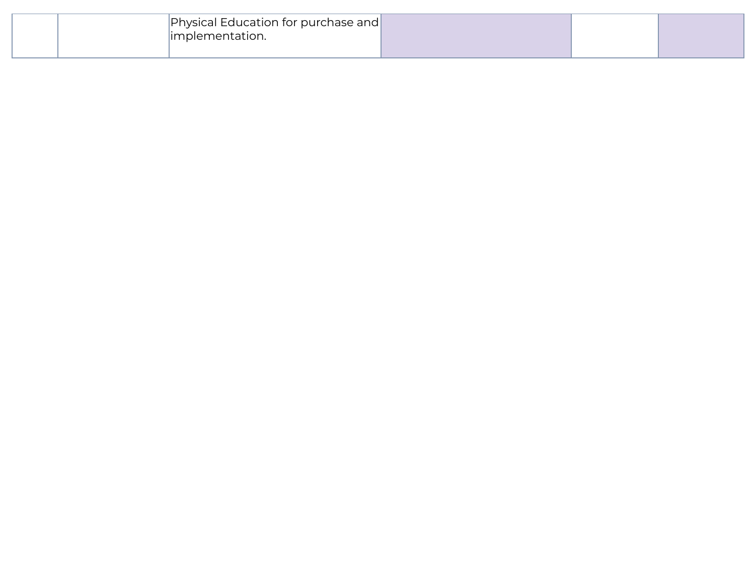|  | Physical Education for purchase and |  |  |
|--|-------------------------------------|--|--|
|  | 'mplementation.                     |  |  |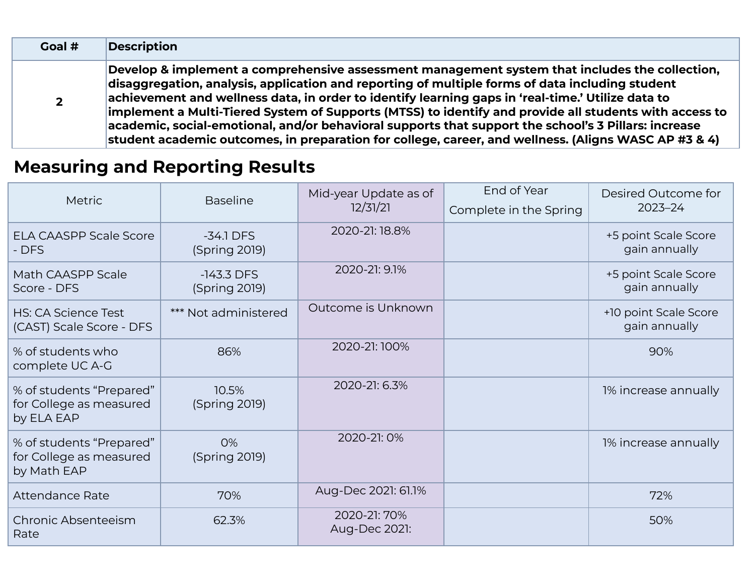| Goal #         | <b>Description</b>                                                                                                                                                                                                                                                                                                                                                                                                                                                                                                                                                                                                                       |
|----------------|------------------------------------------------------------------------------------------------------------------------------------------------------------------------------------------------------------------------------------------------------------------------------------------------------------------------------------------------------------------------------------------------------------------------------------------------------------------------------------------------------------------------------------------------------------------------------------------------------------------------------------------|
| $\overline{2}$ | Develop & implement a comprehensive assessment management system that includes the collection,<br>disaggregation, analysis, application and reporting of multiple forms of data including student<br>achievement and wellness data, in order to identify learning gaps in 'real-time.' Utilize data to<br>implement a Multi-Tiered System of Supports (MTSS) to identify and provide all students with access to<br>$\vert$ academic, social-emotional, and/or behavioral supports that support the school's 3 Pillars: increase<br>student academic outcomes, in preparation for college, career, and wellness. (Aligns WASC AP #3 & 4) |

## **Measuring and Reporting Results**

| Metric                                                             | <b>Baseline</b>               | Mid-year Update as of<br>12/31/21 | End of Year<br>Complete in the Spring | Desired Outcome for<br>$2023 - 24$     |
|--------------------------------------------------------------------|-------------------------------|-----------------------------------|---------------------------------------|----------------------------------------|
| <b>ELA CAASPP Scale Score</b><br>- DFS                             | $-34.1$ DFS<br>(Spring 2019)  | 2020-21:18.8%                     |                                       | +5 point Scale Score<br>gain annually  |
| Math CAASPP Scale<br>Score - DFS                                   | $-143.3$ DFS<br>(Spring 2019) | 2020-21: 9.1%                     |                                       | +5 point Scale Score<br>gain annually  |
| <b>HS: CA Science Test</b><br>(CAST) Scale Score - DFS             | *** Not administered          | Outcome is Unknown                |                                       | +10 point Scale Score<br>gain annually |
| % of students who<br>complete UC A-G                               | 86%                           | 2020-21:100%                      |                                       | 90%                                    |
| % of students "Prepared"<br>for College as measured<br>by ELA EAP  | 10.5%<br>(Spring 2019)        | 2020-21: 6.3%                     |                                       | 1% increase annually                   |
| % of students "Prepared"<br>for College as measured<br>by Math EAP | 0%<br>(Spring 2019)           | 2020-21:0%                        |                                       | 1% increase annually                   |
| <b>Attendance Rate</b>                                             | 70%                           | Aug-Dec 2021: 61.1%               |                                       | 72%                                    |
| Chronic Absenteeism<br>Rate                                        | 62.3%                         | 2020-21: 70%<br>Aug-Dec 2021:     |                                       | 50%                                    |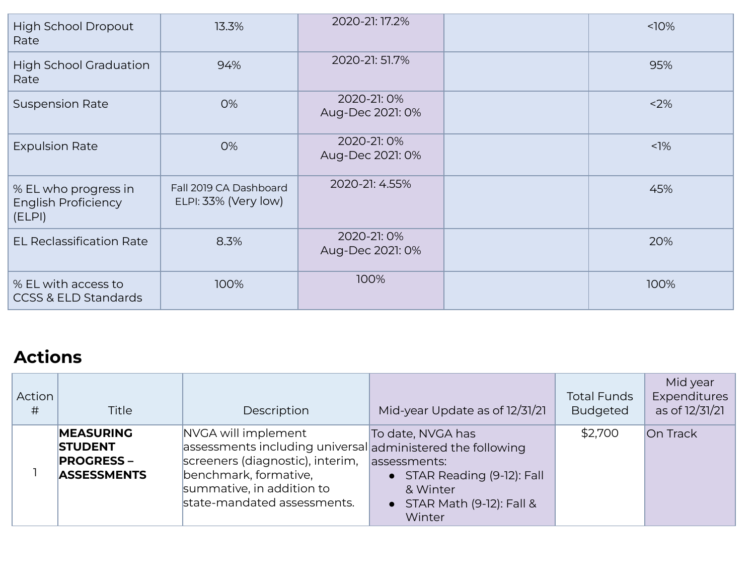| High School Dropout<br>Rate                                  | 13.3%                                          | 2020-21: 17.2%                 | 10%    |
|--------------------------------------------------------------|------------------------------------------------|--------------------------------|--------|
| <b>High School Graduation</b><br>Rate                        | 94%                                            | 2020-21: 51.7%                 | 95%    |
| <b>Suspension Rate</b>                                       | 0%                                             | 2020-21:0%<br>Aug-Dec 2021: 0% | 2%     |
| <b>Expulsion Rate</b>                                        | 0%                                             | 2020-21:0%<br>Aug-Dec 2021: 0% | $<$ 1% |
| % EL who progress in<br><b>English Proficiency</b><br>(ELPI) | Fall 2019 CA Dashboard<br>ELPI: 33% (Very low) | 2020-21: 4.55%                 | 45%    |
| <b>EL Reclassification Rate</b>                              | 8.3%                                           | 2020-21:0%<br>Aug-Dec 2021: 0% | 20%    |
| % EL with access to<br><b>CCSS &amp; ELD Standards</b>       | 100%                                           | 100%                           | 100%   |

## **Actions**

| Action<br># | <b>Title</b>                                                                  | Description                                                                                                                                                                                                | Mid-year Update as of 12/31/21                                                                                                             | <b>Total Funds</b><br><b>Budgeted</b> | Mid year<br>Expenditures<br>as of 12/31/21 |
|-------------|-------------------------------------------------------------------------------|------------------------------------------------------------------------------------------------------------------------------------------------------------------------------------------------------------|--------------------------------------------------------------------------------------------------------------------------------------------|---------------------------------------|--------------------------------------------|
|             | <b>MEASURING</b><br><b>STUDENT</b><br><b>PROGRESS –</b><br><b>ASSESSMENTS</b> | NVGA will implement<br>assessments including universal administered the following<br>screeners (diagnostic), interim,<br>benchmark, formative,<br>summative, in addition to<br>state-mandated assessments. | To date, NVGA has<br>assessments:<br>STAR Reading (9-12): Fall<br>$\bullet$<br>& Winter<br>STAR Math (9-12): Fall &<br>$\bullet$<br>Winter | \$2,700                               | On Track                                   |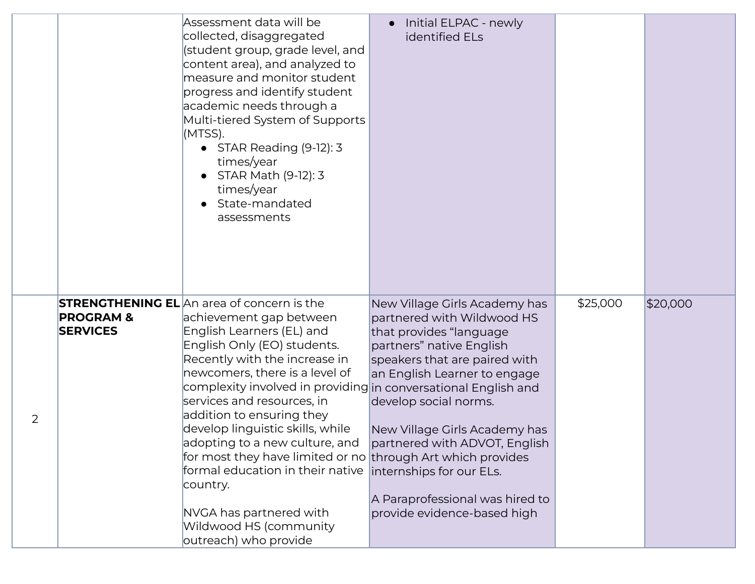|                |                                         | Assessment data will be<br>collected, disaggregated<br>(student group, grade level, and<br>content area), and analyzed to<br>measure and monitor student<br>progress and identify student<br>academic needs through a<br>Multi-tiered System of Supports<br>(MTSS).<br>• STAR Reading (9-12): 3<br>times/year<br>STAR Math (9-12): 3<br>times/year<br>State-mandated<br>assessments                                                                                                                                                                                                                         | Initial ELPAC - newly<br>identified ELs                                                                                                                                                                                                                                                                                                                                      |          |          |
|----------------|-----------------------------------------|-------------------------------------------------------------------------------------------------------------------------------------------------------------------------------------------------------------------------------------------------------------------------------------------------------------------------------------------------------------------------------------------------------------------------------------------------------------------------------------------------------------------------------------------------------------------------------------------------------------|------------------------------------------------------------------------------------------------------------------------------------------------------------------------------------------------------------------------------------------------------------------------------------------------------------------------------------------------------------------------------|----------|----------|
| $\overline{2}$ | <b>PROGRAM &amp;</b><br><b>SERVICES</b> | <b>STRENGTHENING EL</b> An area of concern is the<br>achievement gap between<br>English Learners (EL) and<br>English Only (EO) students.<br>Recently with the increase in<br>newcomers, there is a level of<br>complexity involved in providing in conversational English and<br>services and resources, in<br>addition to ensuring they<br>develop linguistic skills, while<br>adopting to a new culture, and<br>for most they have limited or no through Art which provides<br>formal education in their native<br>country.<br>NVGA has partnered with<br>Wildwood HS (community<br>outreach) who provide | New Village Girls Academy has<br>partnered with Wildwood HS<br>that provides "language<br>partners" native English<br>speakers that are paired with<br>an English Learner to engage<br>develop social norms.<br>New Village Girls Academy has<br>partnered with ADVOT, English<br>internships for our ELs.<br>A Paraprofessional was hired to<br>provide evidence-based high | \$25,000 | \$20,000 |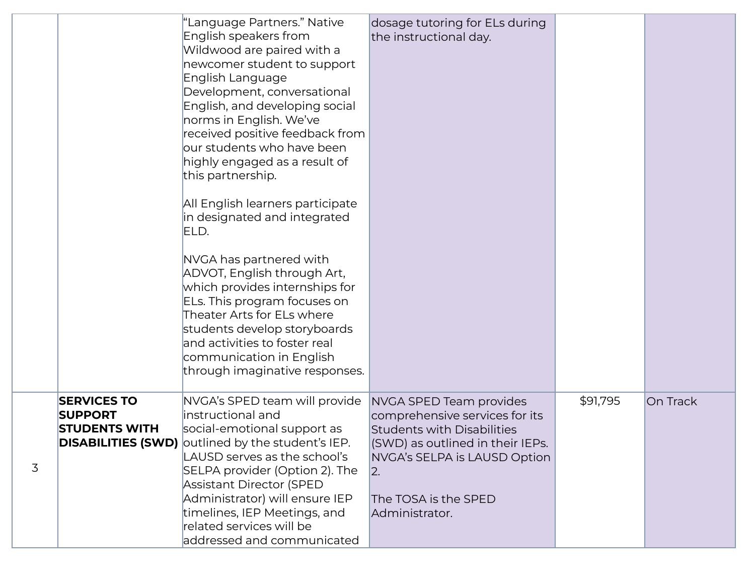|   |                                                              | "Language Partners." Native<br>English speakers from<br>Wildwood are paired with a<br>newcomer student to support<br>English Language<br>Development, conversational<br>English, and developing social<br>norms in English. We've<br>received positive feedback from<br>our students who have been<br>highly engaged as a result of<br>this partnership.<br>All English learners participate<br>in designated and integrated<br>ELD.<br>NVGA has partnered with<br>ADVOT, English through Art,<br>which provides internships for<br>ELs. This program focuses on<br>Theater Arts for ELs where<br>students develop storyboards<br>and activities to foster real<br>communication in English<br>through imaginative responses. | dosage tutoring for ELs during<br>the instructional day.                                                                                                                                                            |          |          |
|---|--------------------------------------------------------------|-------------------------------------------------------------------------------------------------------------------------------------------------------------------------------------------------------------------------------------------------------------------------------------------------------------------------------------------------------------------------------------------------------------------------------------------------------------------------------------------------------------------------------------------------------------------------------------------------------------------------------------------------------------------------------------------------------------------------------|---------------------------------------------------------------------------------------------------------------------------------------------------------------------------------------------------------------------|----------|----------|
| 3 | <b>SERVICES TO</b><br><b>SUPPORT</b><br><b>STUDENTS WITH</b> | NVGA's SPED team will provide<br>instructional and<br>social-emotional support as<br><b>DISABILITIES (SWD)</b> outlined by the student's IEP.<br>LAUSD serves as the school's<br>SELPA provider (Option 2). The<br>Assistant Director (SPED<br>Administrator) will ensure IEP<br>timelines, IEP Meetings, and<br>related services will be<br>addressed and communicated                                                                                                                                                                                                                                                                                                                                                       | NVGA SPED Team provides<br>comprehensive services for its<br><b>Students with Disabilities</b><br>(SWD) as outlined in their IEPs.<br>NVGA's SELPA is LAUSD Option<br> 2.<br>The TOSA is the SPED<br>Administrator. | \$91,795 | On Track |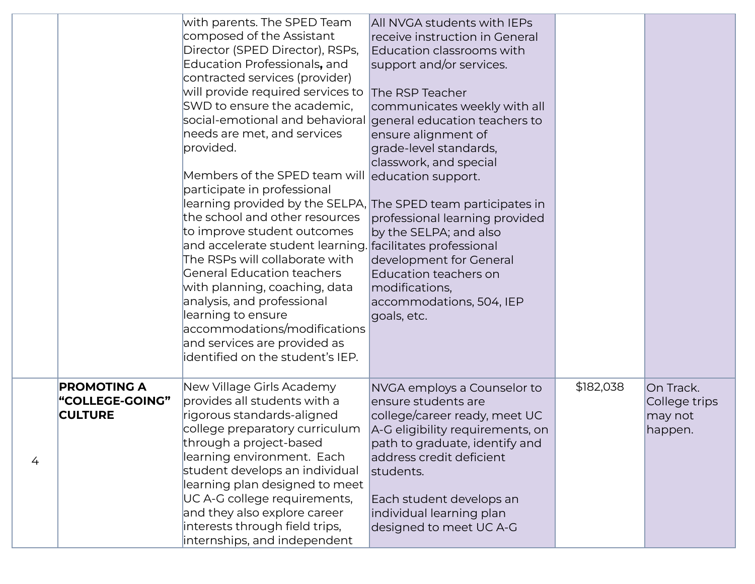|   |                                                                | with parents. The SPED Team<br>composed of the Assistant<br>Director (SPED Director), RSPs,<br>Education Professionals, and<br>contracted services (provider)<br>will provide required services to<br>SWD to ensure the academic,<br>social-emotional and behavioral<br>needs are met, and services<br>provided.<br>Members of the SPED team will<br>participate in professional<br>learning provided by the SELPA,<br>the school and other resources<br>to improve student outcomes<br>and accelerate student learning.<br>The RSPs will collaborate with<br><b>General Education teachers</b><br>with planning, coaching, data<br>analysis, and professional<br>learning to ensure<br>accommodations/modifications<br>and services are provided as<br>identified on the student's IEP. | All NVGA students with IEPs<br>receive instruction in General<br>Education classrooms with<br>support and/or services.<br>The RSP Teacher<br>communicates weekly with all<br>general education teachers to<br>ensure alignment of<br>grade-level standards,<br>classwork, and special<br>education support.<br>The SPED team participates in<br>professional learning provided<br>by the SELPA; and also<br>facilitates professional<br>development for General<br>Education teachers on<br>modifications,<br>accommodations, 504, IEP<br>goals, etc. |           |                                                  |
|---|----------------------------------------------------------------|------------------------------------------------------------------------------------------------------------------------------------------------------------------------------------------------------------------------------------------------------------------------------------------------------------------------------------------------------------------------------------------------------------------------------------------------------------------------------------------------------------------------------------------------------------------------------------------------------------------------------------------------------------------------------------------------------------------------------------------------------------------------------------------|-------------------------------------------------------------------------------------------------------------------------------------------------------------------------------------------------------------------------------------------------------------------------------------------------------------------------------------------------------------------------------------------------------------------------------------------------------------------------------------------------------------------------------------------------------|-----------|--------------------------------------------------|
| 4 | <b>PROMOTING A</b><br><b>"COLLEGE-GOING"</b><br><b>CULTURE</b> | New Village Girls Academy<br>provides all students with a<br>rigorous standards-aligned<br>college preparatory curriculum<br>through a project-based<br>learning environment. Each<br>student develops an individual<br>learning plan designed to meet<br>UC A-G college requirements,<br>and they also explore career<br>interests through field trips,<br>internships, and independent                                                                                                                                                                                                                                                                                                                                                                                                 | NVGA employs a Counselor to<br>ensure students are<br>college/career ready, meet UC<br>A-G eligibility requirements, on<br>path to graduate, identify and<br>address credit deficient<br>students.<br>Each student develops an<br>individual learning plan<br>designed to meet UC A-G                                                                                                                                                                                                                                                                 | \$182,038 | On Track.<br>College trips<br>may not<br>happen. |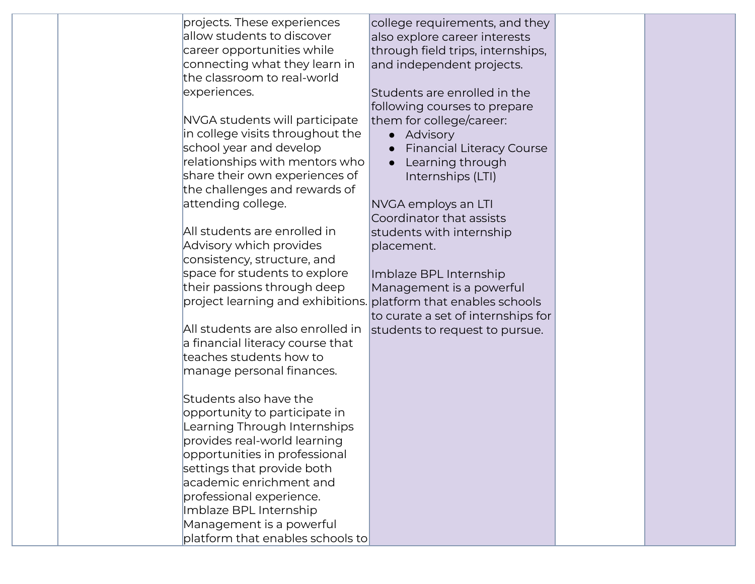| projects. These experiences       | college requirements, and they     |  |
|-----------------------------------|------------------------------------|--|
| allow students to discover        | also explore career interests      |  |
| career opportunities while        | through field trips, internships,  |  |
| connecting what they learn in     | and independent projects.          |  |
| the classroom to real-world       |                                    |  |
| experiences.                      | Students are enrolled in the       |  |
|                                   | following courses to prepare       |  |
| NVGA students will participate    | them for college/career:           |  |
| in college visits throughout the  | • Advisory                         |  |
| school year and develop           | <b>Financial Literacy Course</b>   |  |
| relationships with mentors who    | Learning through                   |  |
| share their own experiences of    | Internships (LTI)                  |  |
| the challenges and rewards of     |                                    |  |
| attending college.                | NVGA employs an LTI                |  |
|                                   | Coordinator that assists           |  |
| All students are enrolled in      | students with internship           |  |
| Advisory which provides           | placement.                         |  |
| consistency, structure, and       |                                    |  |
| space for students to explore     | Imblaze BPL Internship             |  |
| their passions through deep       | Management is a powerful           |  |
| project learning and exhibitions. | platform that enables schools      |  |
|                                   | to curate a set of internships for |  |
| All students are also enrolled in | students to request to pursue.     |  |
| a financial literacy course that  |                                    |  |
| teaches students how to           |                                    |  |
| manage personal finances.         |                                    |  |
|                                   |                                    |  |
| Students also have the            |                                    |  |
| opportunity to participate in     |                                    |  |
| Learning Through Internships      |                                    |  |
| provides real-world learning      |                                    |  |
| opportunities in professional     |                                    |  |
| settings that provide both        |                                    |  |
| academic enrichment and           |                                    |  |
| professional experience.          |                                    |  |
| Imblaze BPL Internship            |                                    |  |
| Management is a powerful          |                                    |  |
| platform that enables schools to  |                                    |  |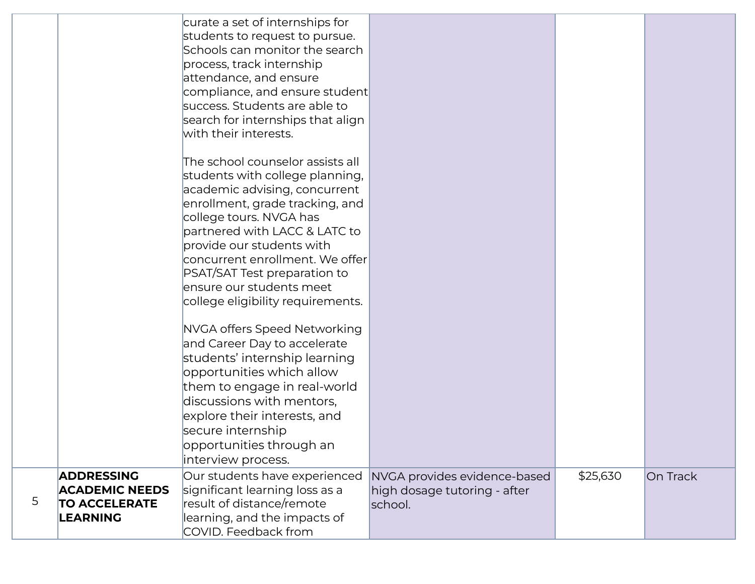|   |                                                                                       | curate a set of internships for<br>students to request to pursue.<br>Schools can monitor the search<br>process, track internship<br>attendance, and ensure<br>compliance, and ensure student<br>success. Students are able to<br>search for internships that align<br>with their interests.                                                                          |                                                                         |          |          |
|---|---------------------------------------------------------------------------------------|----------------------------------------------------------------------------------------------------------------------------------------------------------------------------------------------------------------------------------------------------------------------------------------------------------------------------------------------------------------------|-------------------------------------------------------------------------|----------|----------|
|   |                                                                                       | The school counselor assists all<br>students with college planning,<br>academic advising, concurrent<br>enrollment, grade tracking, and<br>college tours. NVGA has<br>partnered with LACC & LATC to<br>provide our students with<br>concurrent enrollment. We offer<br>PSAT/SAT Test preparation to<br>ensure our students meet<br>college eligibility requirements. |                                                                         |          |          |
|   |                                                                                       | NVGA offers Speed Networking<br>and Career Day to accelerate<br>students' internship learning<br>opportunities which allow<br>them to engage in real-world<br>discussions with mentors,<br>explore their interests, and<br>secure internship<br>opportunities through an<br>interview process.                                                                       |                                                                         |          |          |
| 5 | <b>ADDRESSING</b><br><b>ACADEMIC NEEDS</b><br><b>TO ACCELERATE</b><br><b>LEARNING</b> | Our students have experienced<br>significant learning loss as a<br>result of distance/remote<br>learning, and the impacts of<br>COVID. Feedback from                                                                                                                                                                                                                 | NVGA provides evidence-based<br>high dosage tutoring - after<br>school. | \$25,630 | On Track |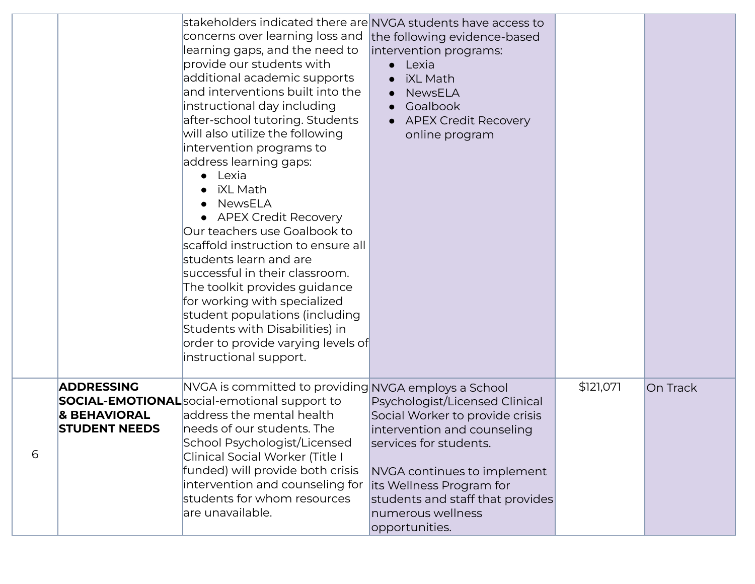|   |                                                                      | stakeholders indicated there are NVGA students have access to<br>concerns over learning loss and<br>learning gaps, and the need to<br>provide our students with<br>additional academic supports<br>and interventions built into the<br>instructional day including<br>after-school tutoring. Students<br>will also utilize the following<br>intervention programs to<br>address learning gaps:<br>Lexia<br>iXL Math<br>NewsELA<br><b>APEX Credit Recovery</b><br>Our teachers use Goalbook to<br>scaffold instruction to ensure all<br>students learn and are<br>successful in their classroom.<br>The toolkit provides guidance<br>for working with specialized<br>student populations (including<br>Students with Disabilities) in<br>order to provide varying levels of<br>instructional support. | the following evidence-based<br>intervention programs:<br>Lexia<br><b>iXL Math</b><br>$\bullet$<br><b>NewsELA</b><br>Goalbook<br>$\bullet$<br><b>APEX Credit Recovery</b><br>online program                                                                      |           |          |
|---|----------------------------------------------------------------------|------------------------------------------------------------------------------------------------------------------------------------------------------------------------------------------------------------------------------------------------------------------------------------------------------------------------------------------------------------------------------------------------------------------------------------------------------------------------------------------------------------------------------------------------------------------------------------------------------------------------------------------------------------------------------------------------------------------------------------------------------------------------------------------------------|------------------------------------------------------------------------------------------------------------------------------------------------------------------------------------------------------------------------------------------------------------------|-----------|----------|
| 6 | <b>ADDRESSING</b><br><b>&amp; BEHAVIORAL</b><br><b>STUDENT NEEDS</b> | NVGA is committed to providing NVGA employs a School<br><b>SOCIAL-EMOTIONAL</b> social-emotional support to<br>address the mental health<br>needs of our students. The<br>School Psychologist/Licensed<br>Clinical Social Worker (Title I<br>funded) will provide both crisis<br>intervention and counseling for<br>students for whom resources<br>are unavailable.                                                                                                                                                                                                                                                                                                                                                                                                                                  | Psychologist/Licensed Clinical<br>Social Worker to provide crisis<br>intervention and counseling<br>services for students.<br>NVGA continues to implement<br>its Wellness Program for<br>students and staff that provides<br>numerous wellness<br>opportunities. | \$121,071 | On Track |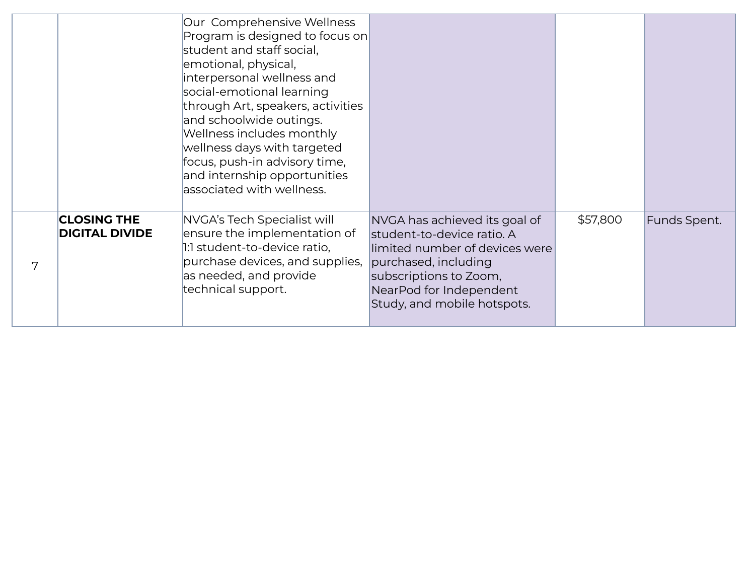|   |                                             | Our Comprehensive Wellness<br>Program is designed to focus on<br>student and staff social,<br>emotional, physical,<br>interpersonal wellness and<br>social-emotional learning<br>through Art, speakers, activities<br>and schoolwide outings.<br>Wellness includes monthly<br>wellness days with targeted<br>focus, push-in advisory time,<br>and internship opportunities<br>associated with wellness. |                                                                                                                                                                                                           |          |              |
|---|---------------------------------------------|---------------------------------------------------------------------------------------------------------------------------------------------------------------------------------------------------------------------------------------------------------------------------------------------------------------------------------------------------------------------------------------------------------|-----------------------------------------------------------------------------------------------------------------------------------------------------------------------------------------------------------|----------|--------------|
| 7 | <b>CLOSING THE</b><br><b>DIGITAL DIVIDE</b> | NVGA's Tech Specialist will<br>ensure the implementation of<br>1:1 student-to-device ratio,<br>purchase devices, and supplies,<br>as needed, and provide<br>technical support.                                                                                                                                                                                                                          | NVGA has achieved its goal of<br>student-to-device ratio. A<br>limited number of devices were<br>purchased, including<br>subscriptions to Zoom,<br>NearPod for Independent<br>Study, and mobile hotspots. | \$57,800 | Funds Spent. |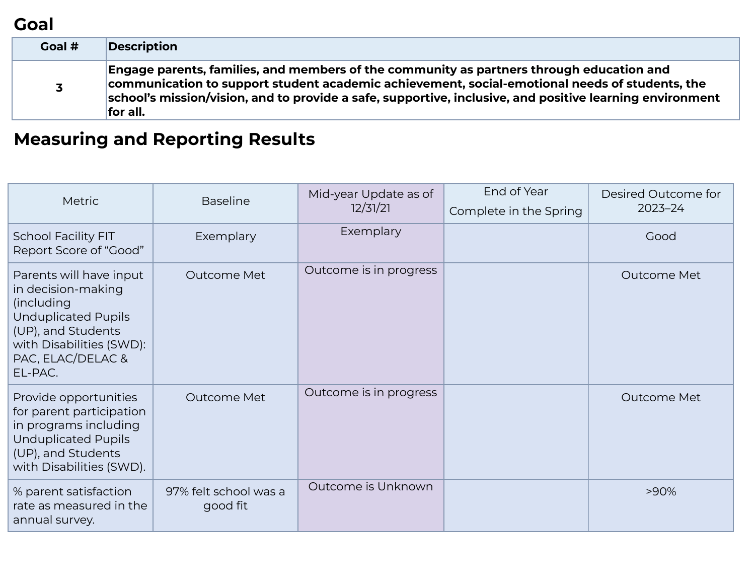#### **Goal**

| Goal #                  | <b>Description</b>                                                                                                                                                                                                                                                                                                 |
|-------------------------|--------------------------------------------------------------------------------------------------------------------------------------------------------------------------------------------------------------------------------------------------------------------------------------------------------------------|
| $\overline{\mathbf{3}}$ | Engage parents, families, and members of the community as partners through education and<br>communication to support student academic achievement, social-emotional needs of students, the<br>school's mission/vision, and to provide a safe, supportive, inclusive, and positive learning environment<br>for all. |

# **Measuring and Reporting Results**

| <b>Metric</b>                                                                                                                                                                       | <b>Baseline</b>                   | Mid-year Update as of<br>12/31/21 | End of Year<br>Complete in the Spring | Desired Outcome for<br>$2023 - 24$ |
|-------------------------------------------------------------------------------------------------------------------------------------------------------------------------------------|-----------------------------------|-----------------------------------|---------------------------------------|------------------------------------|
| <b>School Facility FIT</b><br>Report Score of "Good"                                                                                                                                | Exemplary                         | Exemplary                         |                                       | Good                               |
| Parents will have input<br>in decision-making<br><i>(including)</i><br><b>Unduplicated Pupils</b><br>(UP), and Students<br>with Disabilities (SWD):<br>PAC, ELAC/DELAC &<br>EL-PAC. | Outcome Met                       | Outcome is in progress            |                                       | Outcome Met                        |
| Provide opportunities<br>for parent participation<br>in programs including<br><b>Unduplicated Pupils</b><br>(UP), and Students<br>with Disabilities (SWD).                          | Outcome Met                       | Outcome is in progress            |                                       | Outcome Met                        |
| % parent satisfaction<br>rate as measured in the<br>annual survey.                                                                                                                  | 97% felt school was a<br>good fit | Outcome is Unknown                |                                       | >90%                               |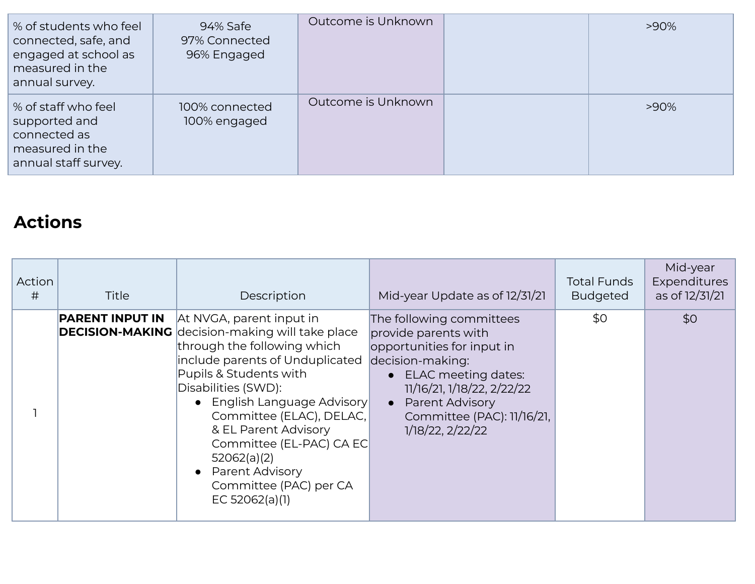| % of students who feel<br>connected, safe, and<br>engaged at school as<br>measured in the<br>annual survey. | 94% Safe<br>97% Connected<br>96% Engaged | Outcome is Unknown | $>90\%$ |
|-------------------------------------------------------------------------------------------------------------|------------------------------------------|--------------------|---------|
| % of staff who feel<br>supported and<br>connected as<br>measured in the<br>annual staff survey.             | 100% connected<br>100% engaged           | Outcome is Unknown | $>90\%$ |

## **Actions**

| Action<br># | <b>Title</b>           | Description                                                                                                                                                                                                                                                                                                                                                                                      | Mid-year Update as of 12/31/21                                                                                                                                                                                                 | <b>Total Funds</b><br><b>Budgeted</b> | Mid-year<br>Expenditures<br>as of 12/31/21 |
|-------------|------------------------|--------------------------------------------------------------------------------------------------------------------------------------------------------------------------------------------------------------------------------------------------------------------------------------------------------------------------------------------------------------------------------------------------|--------------------------------------------------------------------------------------------------------------------------------------------------------------------------------------------------------------------------------|---------------------------------------|--------------------------------------------|
|             | <b>PARENT INPUT IN</b> | At NVGA, parent input in<br><b>DECISION-MAKING</b> decision-making will take place<br>through the following which<br>include parents of Unduplicated<br>Pupils & Students with<br>Disabilities (SWD):<br>English Language Advisory<br>Committee (ELAC), DELAC,<br>& EL Parent Advisory<br>Committee (EL-PAC) CA EC<br>52062(a)(2)<br>Parent Advisory<br>Committee (PAC) per CA<br>EC 52062(a)(1) | The following committees<br>provide parents with<br>opportunities for input in<br>decision-making:<br>• ELAC meeting dates:<br>11/16/21, 1/18/22, 2/22/22<br>Parent Advisory<br>Committee (PAC): 11/16/21,<br>1/18/22, 2/22/22 | \$0                                   | \$0                                        |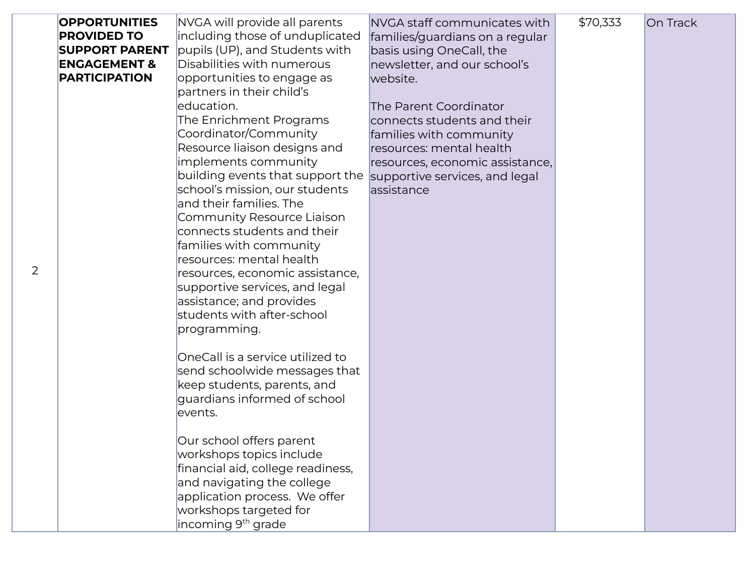| <b>OPPORTUNITIES</b>    | NVGA will provide all parents     | NVGA staff communicates with    | \$70,333 | On Track |
|-------------------------|-----------------------------------|---------------------------------|----------|----------|
| <b>PROVIDED TO</b>      | including those of unduplicated   | families/guardians on a regular |          |          |
| <b>SUPPORT PARENT</b>   | pupils (UP), and Students with    | basis using OneCall, the        |          |          |
| <b>ENGAGEMENT &amp;</b> | Disabilities with numerous        | newsletter, and our school's    |          |          |
| <b>PARTICIPATION</b>    | opportunities to engage as        | website.                        |          |          |
|                         | partners in their child's         |                                 |          |          |
|                         | education.                        | The Parent Coordinator          |          |          |
|                         | The Enrichment Programs           | connects students and their     |          |          |
|                         | Coordinator/Community             | families with community         |          |          |
|                         | Resource liaison designs and      | resources: mental health        |          |          |
|                         | implements community              | resources, economic assistance, |          |          |
|                         | building events that support the  | supportive services, and legal  |          |          |
|                         | school's mission, our students    | assistance                      |          |          |
|                         | and their families. The           |                                 |          |          |
|                         | Community Resource Liaison        |                                 |          |          |
|                         | connects students and their       |                                 |          |          |
|                         | families with community           |                                 |          |          |
|                         | resources: mental health          |                                 |          |          |
|                         | resources, economic assistance,   |                                 |          |          |
|                         | supportive services, and legal    |                                 |          |          |
|                         | assistance; and provides          |                                 |          |          |
|                         | students with after-school        |                                 |          |          |
|                         | programming.                      |                                 |          |          |
|                         |                                   |                                 |          |          |
|                         | OneCall is a service utilized to  |                                 |          |          |
|                         | send schoolwide messages that     |                                 |          |          |
|                         | keep students, parents, and       |                                 |          |          |
|                         | guardians informed of school      |                                 |          |          |
|                         | events.                           |                                 |          |          |
|                         |                                   |                                 |          |          |
|                         | Our school offers parent          |                                 |          |          |
|                         | workshops topics include          |                                 |          |          |
|                         | financial aid, college readiness, |                                 |          |          |
|                         | and navigating the college        |                                 |          |          |
|                         | application process. We offer     |                                 |          |          |
|                         | workshops targeted for            |                                 |          |          |
|                         | incoming 9 <sup>th</sup> grade    |                                 |          |          |

2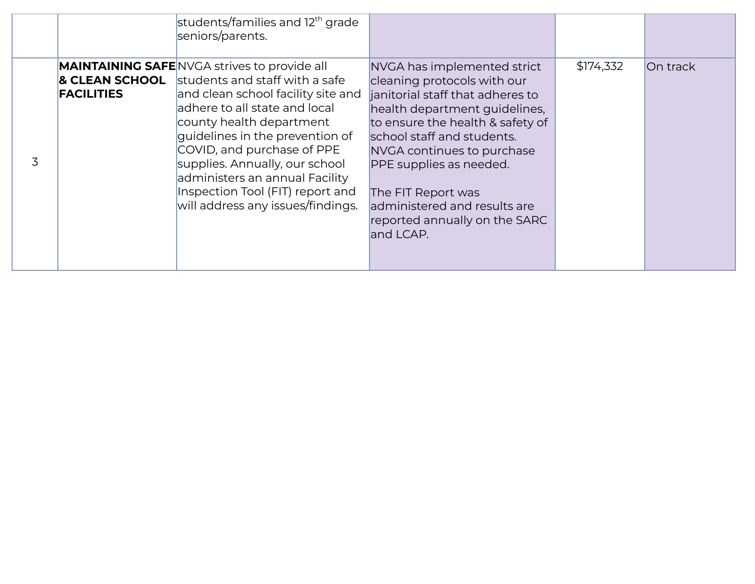|   |                                                | students/families and 12 <sup>th</sup> grade<br>seniors/parents.                                                                                                                                                                                                                                                                                                                                       |                                                                                                                                                                                                                                                                                                                                                                |           |          |
|---|------------------------------------------------|--------------------------------------------------------------------------------------------------------------------------------------------------------------------------------------------------------------------------------------------------------------------------------------------------------------------------------------------------------------------------------------------------------|----------------------------------------------------------------------------------------------------------------------------------------------------------------------------------------------------------------------------------------------------------------------------------------------------------------------------------------------------------------|-----------|----------|
| 3 | <b>&amp; CLEAN SCHOOL</b><br><b>FACILITIES</b> | <b>MAINTAINING SAFE NVGA strives to provide all</b><br>students and staff with a safe<br>and clean school facility site and<br>adhere to all state and local<br>county health department<br>quidelines in the prevention of<br>COVID, and purchase of PPE<br>supplies. Annually, our school<br>administers an annual Facility<br>Inspection Tool (FIT) report and<br>will address any issues/findings. | NVGA has implemented strict<br>cleaning protocols with our<br>janitorial staff that adheres to<br>health department guidelines,<br>to ensure the health & safety of<br>school staff and students.<br>NVGA continues to purchase<br>PPE supplies as needed.<br>The FIT Report was<br>administered and results are<br>reported annually on the SARC<br>and LCAP. | \$174,332 | On track |